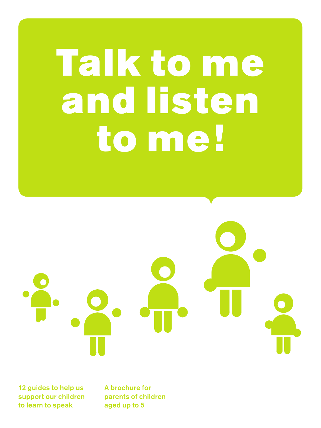# Talk to me and listen to me!

12 guides to help us support our children to learn to speak

A brochure for parents of children aged up to 5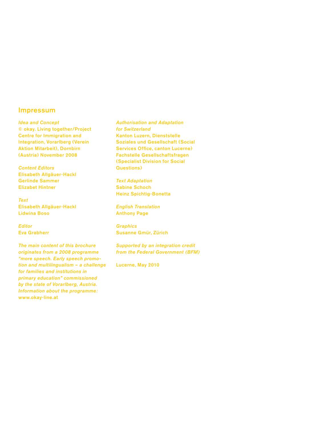#### Impressum

*Idea and Concept* © okay. Living together/Project Centre for Immigration and Integration, Vorarlberg (Verein Aktion Mitarbeit), Dornbirn (Austria) November 2008

*Content Editors*  Elisabeth Allgäuer-Hackl Gerlinde Sammer Elizabet Hintner

*Text* Elisabeth Allgäuer-Hackl Lidwina Boso

*Editor* Eva Grabherr

*The main content of this brochure originates from a 2008 programme "more speech. Early speech promotion and multilingualism – a challenge for families and institutions in primary education" commissioned by the state of Vorarlberg, Austria. Information about the programme:*  www.okay-line.at

*Authorisation and Adaptation for Switzerland* Kanton Luzern, Dienststelle Soziales und Gesellschaft (Social Services Office, canton Lucerne) Fachstelle Gesellschaftsfragen (Specialist Division for Social Questions)

*Text Adaptation* Sabine Schoch Heinz Spichtig-Bonetta

*English Translation* Anthony Page

*Graphics* Susanne Gmür, Zürich

*Supported by an integration credit from the Federal Government (BFM)*

Lucerne, May 2010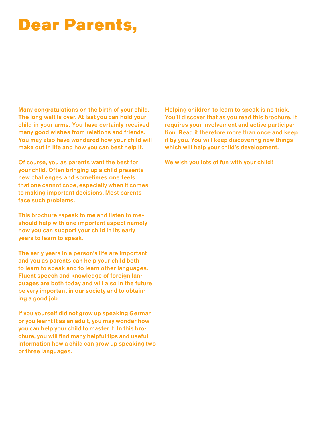### Dear Parents,

Many congratulations on the birth of your child. The long wait is over. At last you can hold your child in your arms. You have certainly received many good wishes from relations and friends. You may also have wondered how your child will make out in life and how you can best help it.

Of course, you as parents want the best for your child. Often bringing up a child presents new challenges and sometimes one feels that one cannot cope, especially when it comes to making important decisions. Most parents face such problems.

This brochure «speak to me and listen to me» should help with one important aspect namely how you can support your child in its early years to learn to speak.

The early years in a person's life are important and you as parents can help your child both to learn to speak and to learn other languages. Fluent speech and knowledge of foreign languages are both today and will also in the future be very important in our society and to obtaining a good job.

If you yourself did not grow up speaking German or you learnt it as an adult, you may wonder how you can help your child to master it. In this brochure, you will find many helpful tips and useful information how a child can grow up speaking two or three languages.

Helping children to learn to speak is no trick. You'll discover that as you read this brochure. It requires your involvement and active participation. Read it therefore more than once and keep it by you. You will keep discovering new things which will help your child's development.

We wish you lots of fun with your child!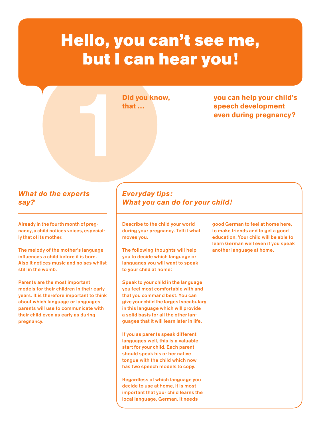### Hello, you can't see me, but I can hear you!

**Did you know, that …**

Did you know, you can help your child's<br>that ... speech development<br>even during pregnancy? **speech development even during pregnancy?**

#### *What do the experts say?*

Already in the fourth month of pregnancy, a child notices voices, especially that of its mother.

The melody of the mother's language influences a child before it is born. Also it notices music and noises whilst still in the womb.

Parents are the most important models for their children in their early years. It is therefore important to think about which language or languages parents will use to communicate with their child even as early as during pregnancy.

#### *Everyday tips: What you can do for your child!*

Describe to the child your world during your pregnancy. Tell it what moves you.

The following thoughts will help you to decide which language or languages you will want to speak to your child at home:

Speak to your child in the language you feel most comfortable with and that you command best. You can give your child the largest vocabulary in this language which will provide a solid basis for all the other languages that it will learn later in life.

If you as parents speak different languages well, this is a valuable start for your child. Each parent should speak his or her native tongue with the child which now has two speech models to copy.

Regardless of which language you decide to use at home, it is most important that your child learns the local language, German. It needs

good German to feel at home here, to make friends and to get a good education. Your child will be able to learn German well even if you speak another language at home.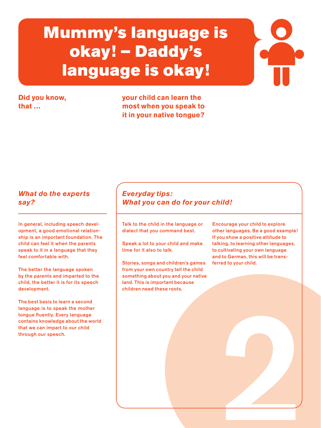### Mummy's language is okay! – Daddy's language is okay!

#### **Did you know, that …**

**your child can learn the most when you speak to it in your native tongue?**

#### *What do the experts say?*

In general, including speech development, a good emotional relationship is an important foundation. The child can feel it when the parents speak to it in a language that they feel comfortable with.

The better the language spoken by the parents and imparted to the child, the better it is for its speech development.

The best basis to learn a second language is to speak the mother tongue fluently. Every language contains knowledge about the world that we can impart to our child through our speech.

#### *Everyday tips: What you can do for your child!*

Talk to the child in the language or dialect that you command best.

Speak a lot to your child and make time for it also to talk.

Stories, songs and children's games from your own country tell the child something about you and your native land. This is important because children need these roots.

Encourage your child to explore other languages. Be a good example! If you show a positive attitude to talking, to learning other languages, to cultivating your own language and to German, this will be transferred to your child.

2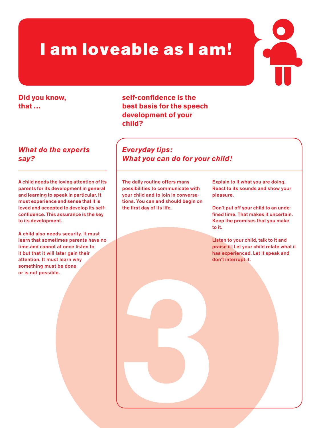### I am loveable as I am!

#### **Did you know, that …**

#### *What do the experts say?*

A child needs the loving attention of its parents for its development in general and learning to speak in particular. It must experience and sense that it is loved and accepted to develop its selfconfidence. This assurance is the key to its development.

A child also needs security. It must learn that sometimes parents have no time and cannot at once listen to it but that it will later gain their attention. It must learn why something must be done or is not possible.

**self-confidence is the best basis for the speech development of your child?** 

*Everyday tips: What you can do for your child!*

The daily routine offers many possibilities to communicate with your child and to join in conversations. You can and should begin on the first day of its life.

Explain to it what you are doing. React to its sounds and show your pleasure.

Don't put off your child to an undefined time. That makes it uncertain. Keep the promises that you make to it.

3 Listen to your child, talk to it and praise it! Let your child relate what it has experienced. Let it speak and don't interrupt it.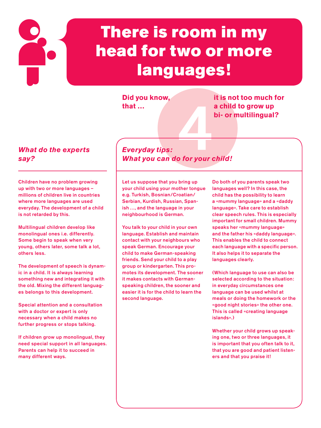## There is room in my head for two or more languages!

**Did you know, that …**

**it is not too much for a child to grow up bi- or multilingual?**

#### *What do the experts say?*

Children have no problem growing up with two or more languages – millions of children live in countries where more languages are used everyday. The development of a child is not retarded by this.

Multilingual children develop like monolingual ones i.e. differently. Some begin to speak when very young, others later, some talk a lot, others less.

The development of speech is dynamic in a child. It is always learning something new and integrating it with the old. Mixing the different languages belongs to this development.

Special attention and a consultation with a doctor or expert is only necessary when a child makes no further progress or stops talking.

If children grow up monolingual, they need special support in all languages. Parents can help it to succeed in many different ways.

*4*<br>Allen your designations *Everyday tips: What you can do for your child!*

Let us suppose that you bring up your child using your mother tongue e.g. Turkish, Bosnian/Croatian/ Serbian, Kurdish, Russian, Spanish…, and the language in your neighbourhood is German.

You talk to your child in your own language. Establish and maintain contact with your neighbours who speak German. Encourage your child to make German-speaking friends. Send your child to a play group or kindergarten. This promotes its development. The sooner it makes contacts with Germanspeaking children, the sooner and easier it is for the child to learn the second language.

Do both of you parents speak two languages well? In this case, the child has the possibility to learn a «mummy language» and a «daddy language». Take care to establish clear speech rules. This is especially important for small children. Mummy speaks her «mummy language» and the father his «daddy language». This enables the child to connect each language with a specific person. It also helps it to separate the languages clearly.

(Which language to use can also be selected according to the situation: in everyday circumstances one language can be used whilst at meals or doing the homework or the «good night stories» the other one. This is called «creating language islands».)

Whether your child grows up speaking one, two or three languages, it is important that you often talk to it, that you are good and patient listeners and that you praise it!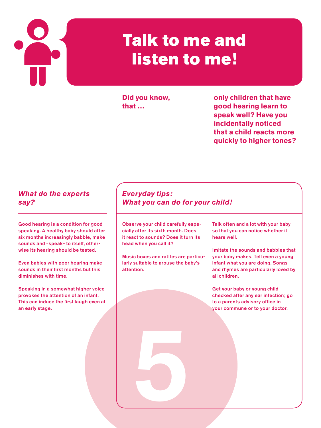

### Talk to me and listen to me!

**Did you know, that …**

**only children that have good hearing learn to speak well? Have you incidentally noticed that a child reacts more quickly to higher tones?**

#### *What do the experts say?*

Good hearing is a condition for good speaking. A healthy baby should after six months increasingly babble, make sounds and «speak» to itself, otherwise its hearing should be tested.

Even babies with poor hearing make sounds in their first months but this diminishes with time.

Speaking in a somewhat higher voice provokes the attention of an infant. This can induce the first laugh even at an early stage.

#### *Everyday tips: What you can do for your child!*

Observe your child carefully especially after its sixth month. Does it react to sounds? Does it turn its head when you call it?

Music boxes and rattles are particularly suitable to arouse the baby's attention.

5

Talk often and a lot with your baby so that you can notice whether it hears well.

Imitate the sounds and babbles that your baby makes. Tell even a young infant what you are doing. Songs and rhymes are particularly loved by all children.

Get your baby or young child checked after any ear infection; go to a parents advisory office in your commune or to your doctor.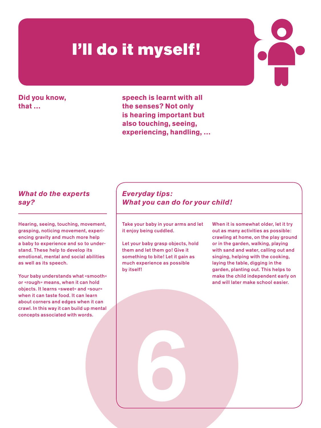### I'll do it myself!

**Did you know, that …**

**speech is learnt with all the senses? Not only is hearing important but also touching, seeing, experiencing, handling, …**

#### *What do the experts say?*

Hearing, seeing, touching, movement, grasping, noticing movement, experiencing gravity and much more help a baby to experience and so to understand. These help to develop its emotional, mental and social abilities as well as its speech.

Your baby understands what «smooth» or «rough» means, when it can hold objects. It learns «sweet» and «sour» when it can taste food. It can learn about corners and edges when it can crawl. In this way it can build up mental concepts associated with words.

#### *Everyday tips: What you can do for your child!*

Take your baby in your arms and let it enjoy being cuddled.

Let your baby grasp objects, hold them and let them go! Give it something to bite! Let it gain as much experience as possible by itself!

6

When it is somewhat older, let it try out as many activities as possible: crawling at home, on the play ground or in the garden, walking, playing with sand and water, calling out and singing, helping with the cooking, laying the table, digging in the garden, planting out. This helps to make the child independent early on and will later make school easier.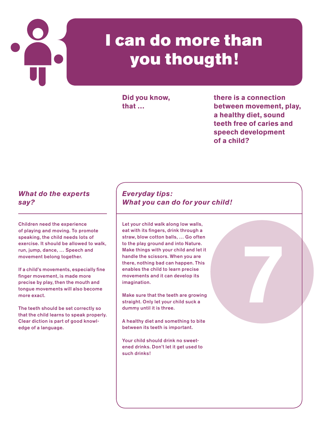

### I can do more than you thougth!

**Did you know, that …**

**there is a connection between movement, play, a healthy diet, sound teeth free of caries and speech development of a child?**

7

#### *What do the experts say?*

Children need the experience of playing and moving. To promote speaking, the child needs lots of exercise. It should be allowed to walk, run, jump, dance, … Speech and movement belong together.

If a child's movements, especially fine finger movement, is made more precise by play, then the mouth and tongue movements will also become more exact.

The teeth should be set correctly so that the child learns to speak properly. Clear diction is part of good knowledge of a language.

#### *Everyday tips: What you can do for your child!*

Let your child walk along low walls, eat with its fingers, drink through a straw, blow cotton balls, … Go often to the play ground and into Nature. Make things with your child and let it handle the scissors. When you are there, nothing bad can happen. This enables the child to learn precise movements and it can develop its imagination.

Make sure that the teeth are growing straight. Only let your child suck a dummy until it is three.

A healthy diet and something to bite between its teeth is important.

Your child should drink no sweetened drinks. Don't let it get used to such drinks!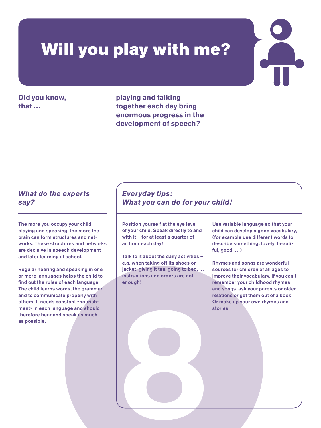### Will you play with me?

**Did you know, that …**

**playing and talking together each day bring enormous progress in the development of speech?**

#### *What do the experts say?*

The more you occupy your child, playing and speaking, the more the brain can form structures and networks. These structures and networks are decisive in speech development and later learning at school.

Regular hearing and speaking in one or more languages helps the child to find out the rules of each language. The child learns words, the grammar and to communicate properly with others. It needs constant «nourishment» in each language and should therefore hear and speak as much as possible.

#### *Everyday tips: What you can do for your child!*

Position yourself at the eye level of your child. Speak directly to and with it – for at least a quarter of an hour each day!

Talk to it about the daily activities – e.g. when taking off its shoes or jacket, giving it tea, going to bed, … instructions and orders are not enough!

8

Use variable language so that your child can develop a good vocabulary, (for example use different words to describe something: lovely, beautiful, good, …)

Rhymes and songs are wonderful sources for children of all ages to improve their vocabulary. If you can't remember your childhood rhymes and songs, ask your parents or older relations or get them out of a book. Or make up your own rhymes and stories.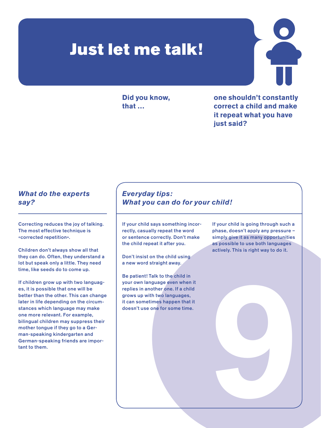### Just let me talk!

**Did you know, that …**

**one shouldn't constantly correct a child and make it repeat what you have just said?**

#### *What do the experts say?*

Correcting reduces the joy of talking. The most effective technique is «corrected repetition».

Children don't always show all that they can do. Often, they understand a lot but speak only a little. They need time, like seeds do to come up.

If children grow up with two languages, it is possible that one will be better than the other. This can change later in life depending on the circumstances which language may make one more relevant. For example, bilingual children may suppress their mother tongue if they go to a German-speaking kindergarten and German-speaking friends are important to them.

#### *Everyday tips: What you can do for your child!*

If your child says something incorrectly, casually repeat the word or sentence correctly. Don't make the child repeat it after you.

Don't insist on the child using a new word straight away.

Be patient! Talk to the child in your own language even when it replies in another one. If a child grows up with two languages, it can sometimes happen that it doesn't use one for some time.

If your child is going through such a phase, doesn't apply any pressure – simply give it as many opportunities as possible to use both languages actively. This is right way to do it.

9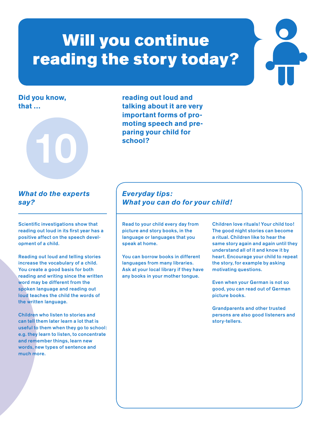### Will you continue reading the story today?

#### **Did you know, that …**



**reading out loud and talking about it are very important forms of promoting speech and preparing your child for school?**

#### *What do the experts say?*

Scientific investigations show that reading out loud in its first year has a positive affect on the speech development of a child.

Reading out loud and telling stories increase the vocabulary of a child. You create a good basis for both reading and writing since the written word may be different from the spoken language and reading out loud teaches the child the words of the written language.

Children who listen to stories and can tell them later learn a lot that is useful to them when they go to school: e.g. they learn to listen, to concentrate and remember things, learn new words, new types of sentence and much more.

#### *Everyday tips: What you can do for your child!*

Read to your child every day from picture and story books, in the language or languages that you speak at home.

You can borrow books in different languages from many libraries. Ask at your local library if they have any books in your mother tongue.

Children love rituals! Your child too! The good night stories can become a ritual. Children like to hear the same story again and again until they understand all of it and know it by heart. Encourage your child to repeat the story, for example by asking motivating questions.

Even when your German is not so good, you can read out of German picture books.

Grandparents and other trusted persons are also good listeners and story-tellers.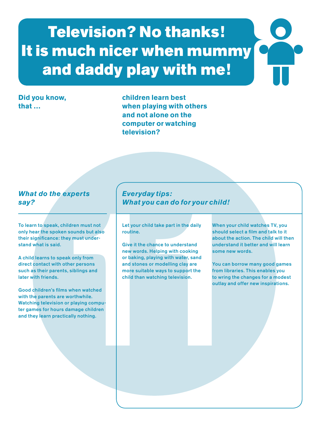## Television? No thanks! It is much nicer when mummy and daddy play with me!

#### **Did you know, that …**

**children learn best when playing with others and not alone on the computer or watching television?**

#### *What do the experts say?*

To learn to speak, children must not only hear the spoken sounds but also their significance: they must understand what is said.

A child learns to speak only from direct contact with other persons such as their parents, siblings and later with friends.

Good children's films when watched with the parents are worthwhile. Watching television or playing computer games for hours damage children and they learn practically nothing.

#### *Everyday tips: What you can do for your child!*

Let your child take part in the daily routine.

Everyday tips:<br>
What you can do for your child!<br>
Children must not<br>
the your child take part in the daily<br>
then sounds but also<br>
the children sounds but and the children.<br>
Cive it the chance to understand interestant<br>
noth Give it the chance to understand new words. Helping with cooking or baking, playing with water, sand and stones or modelling clay are more suitable ways to support the child than watching television.

When your child watches TV, you should select a film and talk to it about the action. The child will then understand it better and will learn some new words.

You can borrow many good games from libraries. This enables you to wring the changes for a modest outlay and offer new inspirations.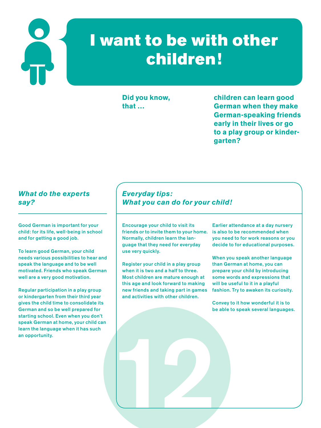

### I want to be with other children!

**Did you know, that …**

**children can learn good German when they make German-speaking friends early in their lives or go to a play group or kindergarten?**

#### *What do the experts say?*

Good German is important for your child: for its life, well-being in school and for getting a good job.

To learn good German, your child needs various possibilities to hear and speak the language and to be well motivated. Friends who speak German well are a very good motivation.

Regular participation in a play group or kindergarten from their third year gives the child time to consolidate its German and so be well prepared for starting school. Even when you don't speak German at home, your child can learn the language when it has such an opportunity.

#### *Everyday tips: What you can do for your child!*

Encourage your child to visit its friends or to invite them to your home. Normally, children learn the language that they need for everyday use very quickly.

Register your child in a play group when it is two and a half to three. Most children are mature enough at this age and look forward to making new friends and taking part in games and activities with other children.

12

Earlier attendance at a day nursery is also to be recommended when you need to for work reasons or you decide to for educational purposes.

When you speak another language than German at home, you can prepare your child by introducing some words and expressions that will be useful to it in a playful fashion. Try to awaken its curiosity.

Convey to it how wonderful it is to be able to speak several languages.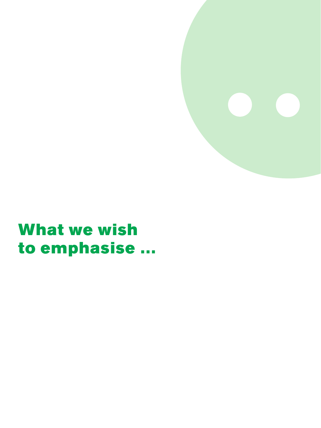

### What we wish to emphasise …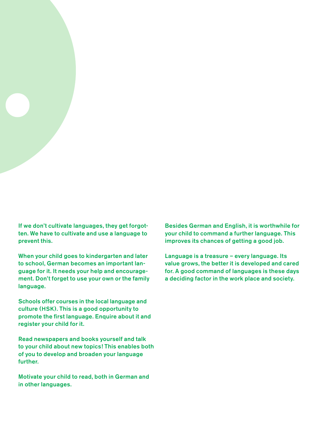

When your child goes to kindergarten and later to school, German becomes an important language for it. It needs your help and encouragement. Don't forget to use your own or the family language.

Schools offer courses in the local language and culture (HSK). This is a good opportunity to promote the first language. Enquire about it and register your child for it.

Read newspapers and books yourself and talk to your child about new topics! This enables both of you to develop and broaden your language further.

Motivate your child to read, both in German and in other languages.

Besides German and English, it is worthwhile for your child to command a further language. This improves its chances of getting a good job.

Language is a treasure – every language. Its value grows, the better it is developed and cared for. A good command of languages is these days a deciding factor in the work place and society.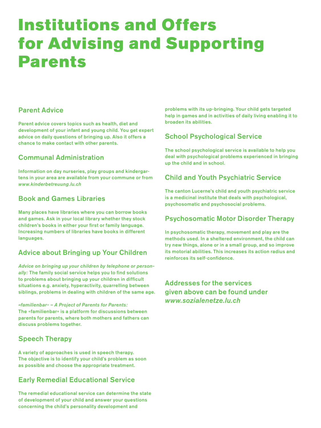### Institutions and Offers for Advising and Supporting Parents

#### Parent Advice

Parent advice covers topics such as health, diet and development of your infant and young child. You get expert advice on daily questions of bringing up. Also it offers a chance to make contact with other parents.

#### Communal Administration

Information on day nurseries, play groups and kindergartens in your area are available from your commune or from *www.kinderbetreuung.lu.ch*

#### Book and Games Libraries

Many places have libraries where you can borrow books and games. Ask in your local library whether they stock children's books in either your first or family language. Increasing numbers of libraries have books in different languages.

#### Advice about Bringing up Your Children

*Advice on bringing up your children by telephone or personally:* The family social service helps you to find solutions to problems about bringing up your children in difficult situations e.g. anxiety, hyperactivity, quarrelling between siblings, problems in dealing with children of the same age.

*«familienbar» – A Project of Parents for Parents:* The «familienbar» is a platform for discussions between parents for parents, where both mothers and fathers can discuss problems together.

#### Speech Therapy

A variety of approaches is used in speech therapy. The objective is to identify your child's problem as soon as possible and choose the appropriate treatment.

#### Early Remedial Educational Service

The remedial educational service can determine the state of development of your child and answer your questions concerning the child's personality development and

problems with its up-bringing. Your child gets targeted help in games and in activities of daily living enabling it to broaden its abilities.

#### School Psychological Service

The school psychological service is available to help you deal with psychological problems experienced in bringing up the child and in school.

#### Child and Youth Psychiatric Service

The canton Lucerne's child and youth psychiatric service is a medicinal institute that deals with psychological, psychosomatic and psychosocial problems.

#### Psychosomatic Motor Disorder Therapy

In psychosomatic therapy, movement and play are the methods used. In a sheltered environment, the child can try new things, alone or in a small group, and so improve its motorial abilities. This increases its action radius and reinforces its self-confidence.

Addresses for the services given above can be found under *www.sozialenetze.lu.ch*